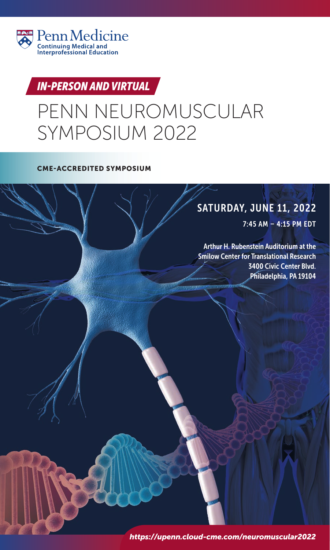

# *IN-PERSON AND VIRTUAL*

# PENN NEUROMUSCULAR SYMPOSIUM 2022

# SATURDAY, JUNE 11, 2022

7:45 AM – 4:15 PM EDT

Arthur H. Rubenstein Auditorium at the Smilow Center for Translational Research 3400 Civic Center Blvd. Philadelphia, PA 19104

*https://upenn.cloud-cme.com/neuromuscular2022*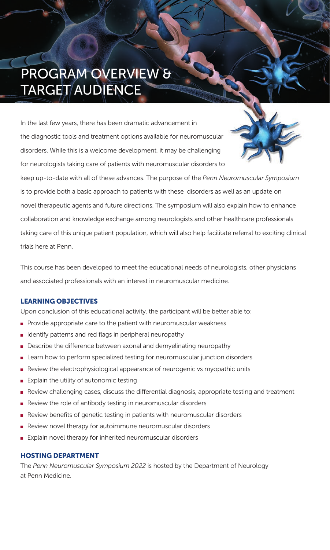# PROGRAM OVERVIEW & TARGET AUDIENCE

In the last few years, there has been dramatic advancement in the diagnostic tools and treatment options available for neuromuscular disorders. While this is a welcome development, it may be challenging for neurologists taking care of patients with neuromuscular disorders to



keep up-to-date with all of these advances. The purpose of the *Penn Neuromuscular Symposium* is to provide both a basic approach to patients with these disorders as well as an update on novel therapeutic agents and future directions. The symposium will also explain how to enhance collaboration and knowledge exchange among neurologists and other healthcare professionals taking care of this unique patient population, which will also help facilitate referral to exciting clinical trials here at Penn.

This course has been developed to meet the educational needs of neurologists, other physicians and associated professionals with an interest in neuromuscular medicine.

Upon conclusion of this educational activity, the participant will be better able to:

- $\blacksquare$  Provide appropriate care to the patient with neuromuscular weakness
- I dentify patterns and red flags in peripheral neuropathy
- Describe the difference between axonal and demyelinating neuropathy
- Learn how to perform specialized testing for neuromuscular junction disorders
- n Review the electrophysiological appearance of neurogenic vs myopathic units
- **Explain the utility of autonomic testing**
- n Review challenging cases, discuss the differential diagnosis, appropriate testing and treatment
- $\blacksquare$  Review the role of antibody testing in neuromuscular disorders
- $\blacksquare$  Review benefits of genetic testing in patients with neuromuscular disorders
- $\blacksquare$  Review novel therapy for autoimmune neuromuscular disorders
- $\blacksquare$  Explain novel therapy for inherited neuromuscular disorders

**HOSTING DEPARTMENT** The *Penn Neuromuscular Symposium 2022* is hosted by the Department of Neurology at Penn Medicine.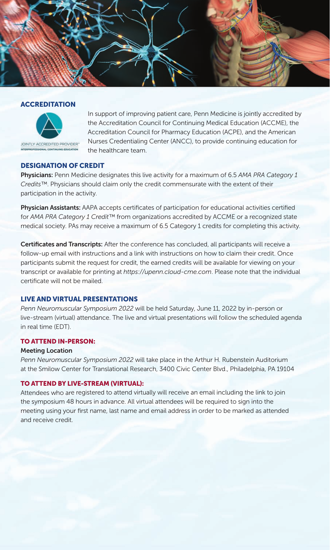



In support of improving patient care, Penn Medicine is jointly accredited by the Accreditation Council for Continuing Medical Education (ACCME), the Accreditation Council for Pharmacy Education (ACPE), and the American Nurses Credentialing Center (ANCC), to provide continuing education for the healthcare team.

### **DESIGNATION OF CREDIT**

**DESIGNATION OF CREDIT Physicians:** Penn Medicine designates this live activity for a maximum of 6.5 *AMA PRA Category 1 Credits™*. Physicians should claim only the credit commensurate with the extent of their participation in the activity. i

**Physician Assistants:** AAPA accepts certificates of participation for educational activities certified for *AMA PRA Category 1 Credit™* from organizations accredited by ACCME or a recognized state medical society. PAs may receive a maximum of 6.5 Category 1 credits for completing this activity.

**Certificates and Transcripts:** After the conference has concluded, all participants will receive a follow-up email with instructions and a link with instructions on how to claim their credit. Once participants submit the request for credit, the earned credits will be available for viewing on your transcript or available for printing at *https://upenn.cloud-cme.com*. Please note that the individual certificate will not be mailed.

### **LIVE AND VIRTUAL PRESENTATIONS**

**LIVE AND VIRTUAL PRESENTATIONS** *Penn Neuromuscular Symposium 2022* will be held Saturday, June 11, 2022 by in-person or live-stream (virtual) attendance. The live and virtual presentations will follow the scheduled agenda in real time (EDT).

### **TO ATTEND IN-PERSON:**

## **TO ATTEND IN-PERSON: Meeting Location**

*Penn Neuromuscular Symposium 2022* will take place in the Arthur H. Rubenstein Auditorium at the Smilow Center for Translational Research, 3400 Civic Center Blvd., Philadelphia, PA 19104

### TO ATTEND BY LIVE-STREAM (VIRTUAL):

**TO ATTEND BY LIVE-STREAM (VIRTUAL):** Attendees who are registered to attend virtually will receive an email including the link to join the symposium 48 hours in advance. All virtual attendees will be required to sign into the meeting using your first name, last name and email address in order to be marked as attended and receive credit.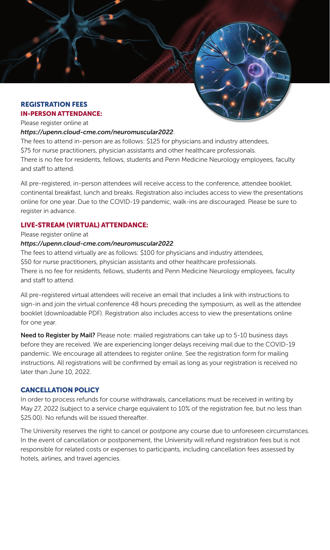# **REGISTRATION FEES**

## Please register online at

### *https://upenn.cloud-cme.com/neuromuscular2022*.

The fees to attend in-person are as follows: \$125 for physicians and industry attendees, \$75 for nurse practitioners, physician assistants and other healthcare professionals. There is no fee for residents, fellows, students and Penn Medicine Neurology employees, faculty and staff to attend.

All pre-registered, in-person attendees will receive access to the conference, attendee booklet, continental breakfast, lunch and breaks. Registration also includes access to view the presentations online for one year. Due to the COVID-19 pandemic, walk-ins are discouraged. Please be sure to register in advance.

### **LIVE-STREAM (VIRTUAL) ATTENDANCE:**

## **LIVE-STREAM (VIRTUAL) ATTENDANCE:** Please register online at

### *https://upenn.cloud-cme.com/neuromuscular2022*.

The fees to attend virtually are as follows: \$100 for physicians and industry attendees, \$50 for nurse practitioners, physician assistants and other healthcare professionals. There is no fee for residents, fellows, students and Penn Medicine Neurology employees, faculty and staff to attend.

All pre-registered virtual attendees will receive an email that includes a link with instructions to sign-in and join the virtual conference 48 hours preceding the symposium, as well as the attendee booklet (downloadable PDF). Registration also includes access to view the presentations online for one year.

**Need to Register by Mail?** Please note: mailed registrations can take up to 5-10 business days before they are received. We are experiencing longer delays receiving mail due to the COVID-19 pandemic. We encourage all attendees to register online. See the registration form for mailing instructions. All registrations will be confirmed by email as long as your registration is received no later than June 10, 2022.

### **CANCELLATION POLICY**

**CANCELLATION POLICY** In order to process refunds for course withdrawals, cancellations must be received in writing by May 27, 2022 (subject to a service charge equivalent to 10% of the registration fee, but no less than \$25.00). No refunds will be issued thereafter.

The University reserves the right to cancel or postpone any course due to unforeseen circumstances. In the event of cancellation or postponement, the University will refund registration fees but is not responsible for related costs or expenses to participants, including cancellation fees assessed by hotels, airlines, and travel agencies.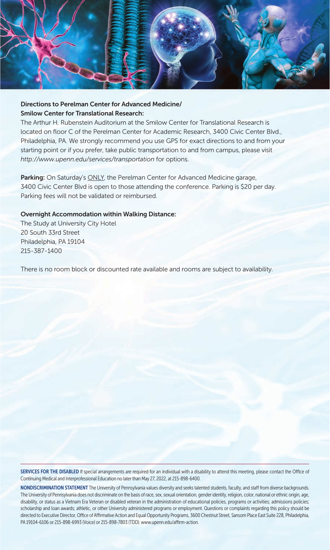

### **Directions to Perelman Center for Advanced Medicine/ Smilow Center for Translational Research:**

The Arthur H. Rubenstein Auditorium at the Smilow Center for Translational Research is located on floor C of the Perelman Center for Academic Research, 3400 Civic Center Blvd., Philadelphia, PA. We strongly recommend you use GPS for exact directions to and from your starting point or if you prefer, take public transportation to and from campus, please visit *http://www.upenn.edu/services/transportation* for options.

**Parking:** On Saturday's ONLY, the Perelman Center for Advanced Medicine garage, 3400 Civic Center Blvd is open to those attending the conference. Parking is \$20 per day. Parking fees will not be validated or reimbursed.

### **Overnight Accommodation within Walking Distance:**

The Study at University City Hotel 20 South 33rd Street Philadelphia, PA 19104 215-387-1400

There is no room block or discounted rate available and rooms are subject to availability.

SERVICES FOR THE DISABLED If special arrangements are required for an individual with a disability to attend this meeting, please contact the Office of Continuing Medical and Interprofessional Education no later than May 27, 2022, at 215-898-6400.

NONDISCRIMINATION STATEMENT The University of Pennsylvania values diversity and seeks talented students, faculty, and staff from diverse backgrounds. The University of Pennsylvania does not discriminate on the basis of race, sex, sexual orientation, gender identity, religion, color, national or ethnic origin, age, disability, or status as a Vietnam Era Veteran or disabled veteran in the administration of educational policies, programs or activities; admissions policies; scholarship and loan awards; athletic, or other University administered programs or employment. Questions or complaints regarding this policy should be directed to Executive Director, Office of Affirmative Action and Equal Opportunity Programs, 3600 Chestnut Street, Sansom Place East Suite 228, Philadelphia, PA 19104-6106 or 215-898-6993 (Voice) or 215-898-7803 (TDD). www.upenn.edu/affirm-action.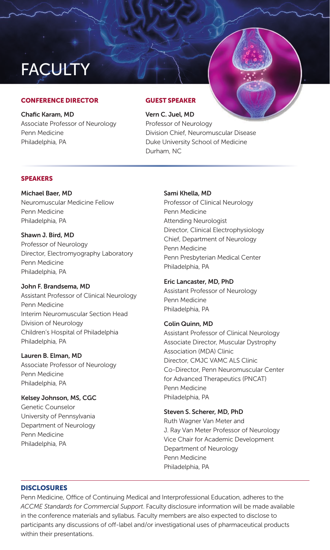# **FACULTY**

**Chafic Karam, MD** Associate Professor of Neurology Penn Medicine Philadelphia, PA

**Vern C. Juel, MD** Professor of Neurology Division Chief, Neuromuscular Disease Duke University School of Medicine Durham, NC

**Michael Baer, MD** Neuromuscular Medicine Fellow Penn Medicine Philadelphia, PA

### **Shawn J. Bird, MD**

Professor of Neurology Director, Electromyography Laboratory Penn Medicine Philadelphia, PA

### **John F. Brandsema, MD**

Assistant Professor of Clinical Neurology Penn Medicine Interim Neuromuscular Section Head Division of Neurology Children's Hospital of Philadelphia Philadelphia, PA

### **Lauren B. Elman, MD**

Associate Professor of Neurology Penn Medicine Philadelphia, PA

### **Kelsey Johnson, MS, CGC**

Genetic Counselor University of Pennsylvania Department of Neurology Penn Medicine Philadelphia, PA

### **Sami Khella, MD**

Professor of Clinical Neurology Penn Medicine Attending Neurologist Director, Clinical Electrophysiology Chief, Department of Neurology Penn Medicine Penn Presbyterian Medical Center Philadelphia, PA

### **Eric Lancaster, MD, PhD**

Assistant Professor of Neurology Penn Medicine Philadelphia, PA

### **Colin Quinn, MD**

Assistant Professor of Clinical Neurology Associate Director, Muscular Dystrophy Association (MDA) Clinic Director, CMJC VAMC ALS Clinic Co-Director, Penn Neuromuscular Center for Advanced Therapeutics (PNCAT) Penn Medicine Philadelphia, PA

### **Steven S. Scherer, MD, PhD**

Ruth Wagner Van Meter and J. Ray Van Meter Professor of Neurology Vice Chair for Academic Development Department of Neurology Penn Medicine Philadelphia, PA

Penn Medicine, Office of Continuing Medical and Interprofessional Education, adheres to the *ACCME Standards for Commercial Support*. Faculty disclosure information will be made available in the conference materials and syllabus. Faculty members are also expected to disclose to participants any discussions of off-label and/or investigational uses of pharmaceutical products within their presentations.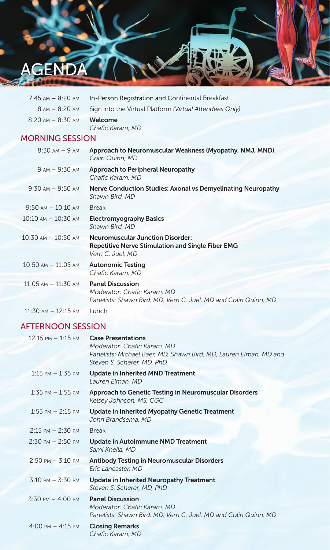

| $7:45$ AM $- 8:20$ AM                 | In-Person Registration and Continental Breakfast                                                                          |  |  |
|---------------------------------------|---------------------------------------------------------------------------------------------------------------------------|--|--|
| 8 AM - 8:20 AM                        | Sign into the Virtual Platform (Virtual Attendees Only)                                                                   |  |  |
| $8:20 \text{ AM} - 8:30 \text{ AM}$   | Welcome<br>Chafic Karam, MD                                                                                               |  |  |
| <b>MORNING SESSION</b>                |                                                                                                                           |  |  |
| $8:30 \text{ AM} - 9 \text{ AM}$      | Approach to Neuromuscular Weakness (Myopathy, NMJ, MND)<br>Colin Quinn, MD                                                |  |  |
| $9 AM - 9:30 AM$                      | <b>Approach to Peripheral Neuropathy</b><br>Chafic Karam, MD                                                              |  |  |
| $9:30 \text{ AM} - 9:50 \text{ AM}$   | Nerve Conduction Studies: Axonal vs Demyelinating Neuropathy<br>Shawn Bird, MD                                            |  |  |
| $9:50$ AM $- 10:10$ AM                | <b>Break</b>                                                                                                              |  |  |
| $10:10$ AM $- 10:30$ AM               | <b>Electromyography Basics</b><br>Shawn Bird, MD                                                                          |  |  |
| $10:30 \text{ AM} - 10:50 \text{ AM}$ | <b>Neuromuscular Junction Disorder:</b><br><b>Repetitive Nerve Stimulation and Single Fiber EMG</b><br>Vern C. Juel, MD   |  |  |
| $10:50$ AM $- 11:05$ AM               | <b>Autonomic Testing</b><br>Chafic Karam, MD                                                                              |  |  |
| $11:05$ AM $- 11:30$ AM               | <b>Panel Discussion</b><br>Moderator: Chafic Karam, MD<br>Panelists: Shawn Bird, MD, Vern C. Juel, MD and Colin Quinn, MD |  |  |

11:30 AM – 12:15 PM Lunch

## AFTERNOON SESSION

| $12:15 \text{ PM} - 1:15 \text{ PM}$ | <b>Case Presentations</b><br>Moderator: Chafic Karam, MD<br>Panelists: Michael Baer, MD, Shawn Bird, MD, Lauren Elman, MD and<br>Steven S. Scherer, MD, PhD |
|--------------------------------------|-------------------------------------------------------------------------------------------------------------------------------------------------------------|
| $1:15$ PM $-1:35$ PM                 | <b>Update in Inherited MND Treatment</b><br>Lauren Elman, MD                                                                                                |
| $1:35$ PM $-1:55$ PM                 | Approach to Genetic Testing in Neuromuscular Disorders<br>Kelsey Johnson, MS, CGC                                                                           |
| $1:55$ PM $- 2:15$ PM                | <b>Update in Inherited Myopathy Genetic Treatment</b><br>John Brandsema, MD                                                                                 |
| $2:15 \text{ PM} - 2:30 \text{ PM}$  | <b>Break</b>                                                                                                                                                |
| $2:30 \text{ PM} - 2:50 \text{ PM}$  | Update in Autoimmune NMD Treatment<br>Sami Khella, MD                                                                                                       |
| $2:50 \text{ PM} - 3:10 \text{ PM}$  | <b>Antibody Testing in Neuromuscular Disorders</b><br>Eric Lancaster, MD                                                                                    |
| $3:10 \text{ PM} - 3:30 \text{ PM}$  | Update in Inherited Neuropathy Treatment<br>Steven S. Scherer, MD, PhD                                                                                      |
| $3:30 \text{ PM} - 4:00 \text{ PM}$  | <b>Panel Discussion</b><br>Moderator: Chafic Karam, MD<br>Panelists: Shawn Bird, MD, Vern C. Juel, MD and Colin Quinn, MD                                   |
| $4:00 \text{ PM} - 4:15 \text{ PM}$  | <b>Closing Remarks</b><br>Chafic Karam, MD                                                                                                                  |